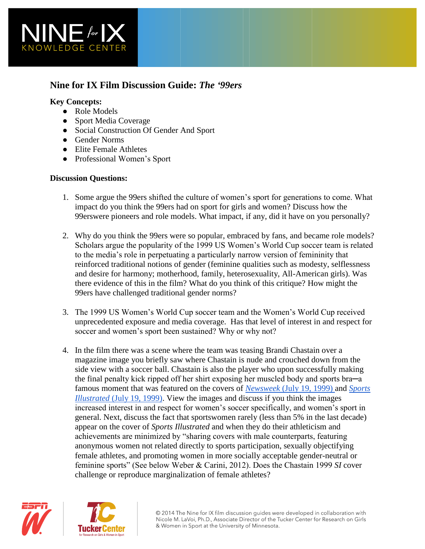

# **Nine for IX Film Discussion Guide:** *The '99ers*

### **Key Concepts:**

- Role Models
- Sport Media Coverage
- Social Construction Of Gender And Sport
- Gender Norms
- Elite Female Athletes
- Professional Women's Sport

### **Discussion Questions:**

- 1. Some argue the 99ers shifted the culture of women's sport for generations to come. What impact do you think the 99ers had on sport for girls and women? Discuss how the 99erswere pioneers and role models. What impact, if any, did it have on you personally?
- 2. Why do you think the 99ers were so popular, embraced by fans, and became role models? Scholars argue the popularity of the 1999 US Women's World Cup soccer team is related to the media's role in perpetuating a particularly narrow version of femininity that reinforced traditional notions of gender (feminine qualities such as modesty, selflessness and desire for harmony; motherhood, family, heterosexuality, All-American girls). Was there evidence of this in the film? What do you think of this critique? How might the 99ers have challenged traditional gender norms?
- 3. The 1999 US Women's World Cup soccer team and the Women's World Cup received unprecedented exposure and media coverage. Has that level of interest in and respect for soccer and women's sport been sustained? Why or why not?
- 4. In the film there was a scene where the team was teasing Brandi Chastain over a magazine image you briefly saw where Chastain is nude and crouched down from the side view with a soccer ball. Chastain is also the player who upon successfully making the final penalty kick ripped off her shirt exposing her muscled body and sports bra─a famous moment that was featured on the covers of *[Newsweek](http://newsweek.tumblr.com/post/7500608820/today-in-newsweek-archives-girls)* [\(July 19, 1999\) a](http://newsweek.tumblr.com/post/7500608820/today-in-newsweek-archives-girls)nd *[Sports](http://www.sicovers.com/Product.aspx?pid=829)  [Illustrated](http://www.sicovers.com/Product.aspx?pid=829)* [\(July 19, 1999\).](http://www.sicovers.com/Product.aspx?pid=829) View the images and discuss if you think the images increased interest in and respect for women's soccer specifically, and women's sport in general. Next, discuss the fact that sportswomen rarely (less than 5% in the last decade) appear on the cover of *Sports Illustrated* and when they do their athleticism and achievements are minimized by "sharing covers with male counterparts, featuring anonymous women not related directly to sports participation, sexually objectifying female athletes, and promoting women in more socially acceptable gender-neutral or feminine sports" (See below Weber & Carini, 2012). Does the Chastain 1999 *SI* cover challenge or reproduce marginalization of female athletes?



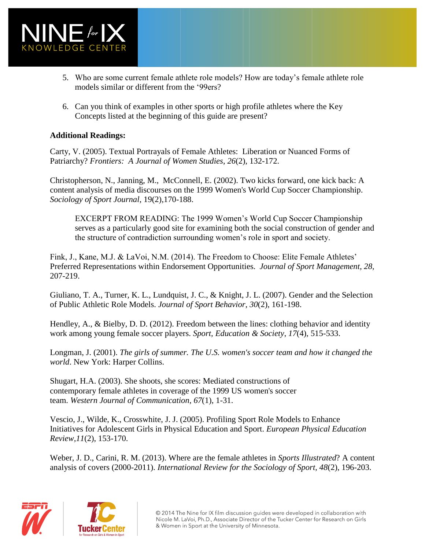

- 5. Who are some current female athlete role models? How are today's female athlete role models similar or different from the '99ers?
- 6. Can you think of examples in other sports or high profile athletes where the Key Concepts listed at the beginning of this guide are present?

## **Additional Readings:**

Carty, V. (2005). Textual Portrayals of Female Athletes: Liberation or Nuanced Forms of Patriarchy? *Frontiers: A Journal of Women Studies*, *26*(2), 132-172.

Christopherson, N., Janning, M., McConnell, E. (2002). Two kicks forward, one kick back: A content analysis of media discourses on the 1999 Women's World Cup Soccer Championship. *Sociology of Sport Journal*, 19(2),170-188.

EXCERPT FROM READING: The 1999 Women's World Cup Soccer Championship serves as a particularly good site for examining both the social construction of gender and the structure of contradiction surrounding women's role in sport and society.

Fink, J., Kane, M.J. & LaVoi, N.M. (2014). The Freedom to Choose: Elite Female Athletes' Preferred Representations within Endorsement Opportunities. *Journal of Sport Management, 28,*  207-219.

Giuliano, T. A., Turner, K. L., Lundquist, J. C., & Knight, J. L. (2007). Gender and the Selection of Public Athletic Role Models. *Journal of Sport Behavior*, *30*(2), 161-198.

Hendley, A., & Bielby, D. D. (2012). Freedom between the lines: clothing behavior and identity work among young female soccer players. *Sport, Education & Society*, *17*(4), 515-533.

Longman, J. (2001). *The girls of summer. The U.S. women's soccer team and how it changed the world*. New York: Harper Collins.

Shugart, H.A. (2003). She shoots, she scores: Mediated constructions of contemporary female athletes in coverage of the 1999 US women's soccer team. *Western Journal of Communication*, *67*(1), 1-31.

Vescio, J., Wilde, K., Crosswhite, J. J. (2005). Profiling Sport Role Models to Enhance Initiatives for Adolescent Girls in Physical Education and Sport. *European Physical Education Review,11*(2), 153-170.

Weber, J. D., Carini, R. M. (2013). Where are the female athletes in *Sports Illustrated*? A content analysis of covers (2000-2011). *International Review for the Sociology of Sport, 48*(2), 196-203.